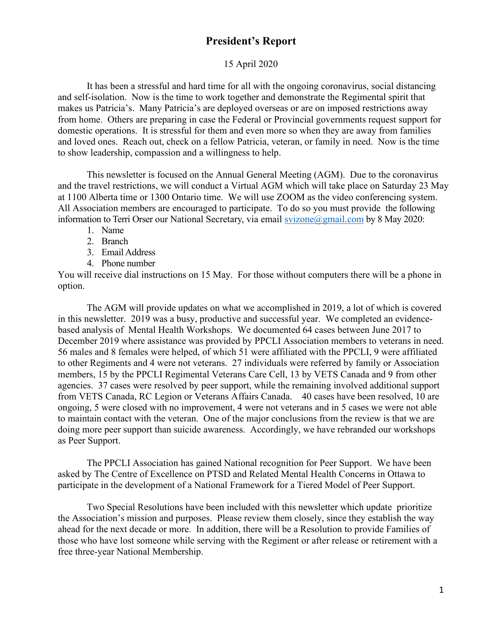### **President's Report**

#### 15 April 2020

 It has been a stressful and hard time for all with the ongoing coronavirus, social distancing and self-isolation. Now is the time to work together and demonstrate the Regimental spirit that makes us Patricia's. Many Patricia's are deployed overseas or are on imposed restrictions away from home. Others are preparing in case the Federal or Provincial governments request support for domestic operations. It is stressful for them and even more so when they are away from families and loved ones. Reach out, check on a fellow Patricia, veteran, or family in need. Now is the time to show leadership, compassion and a willingness to help.

 This newsletter is focused on the Annual General Meeting (AGM). Due to the coronavirus and the travel restrictions, we will conduct a Virtual AGM which will take place on Saturday 23 May at 1100 Alberta time or 1300 Ontario time. We will use ZOOM as the video conferencing system. All Association members are encouraged to participate. To do so you must provide the following information to Terri Orser our National Secretary, via email svizone@gmail.com by 8 May 2020:

- 1. Name
- 2. Branch
- 3. Email Address
- 4. Phone number

You will receive dial instructions on 15 May. For those without computers there will be a phone in option.

 The AGM will provide updates on what we accomplished in 2019, a lot of which is covered in this newsletter. 2019 was a busy, productive and successful year. We completed an evidencebased analysis of Mental Health Workshops. We documented 64 cases between June 2017 to December 2019 where assistance was provided by PPCLI Association members to veterans in need. 56 males and 8 females were helped, of which 51 were affiliated with the PPCLI, 9 were affiliated to other Regiments and 4 were not veterans. 27 individuals were referred by family or Association members, 15 by the PPCLI Regimental Veterans Care Cell, 13 by VETS Canada and 9 from other agencies. 37 cases were resolved by peer support, while the remaining involved additional support from VETS Canada, RC Legion or Veterans Affairs Canada. 40 cases have been resolved, 10 are ongoing, 5 were closed with no improvement, 4 were not veterans and in 5 cases we were not able to maintain contact with the veteran. One of the major conclusions from the review is that we are doing more peer support than suicide awareness. Accordingly, we have rebranded our workshops as Peer Support.

The PPCLI Association has gained National recognition for Peer Support. We have been asked by The Centre of Excellence on PTSD and Related Mental Health Concerns in Ottawa to participate in the development of a National Framework for a Tiered Model of Peer Support.

Two Special Resolutions have been included with this newsletter which update prioritize the Association's mission and purposes. Please review them closely, since they establish the way ahead for the next decade or more. In addition, there will be a Resolution to provide Families of those who have lost someone while serving with the Regiment or after release or retirement with a free three-year National Membership.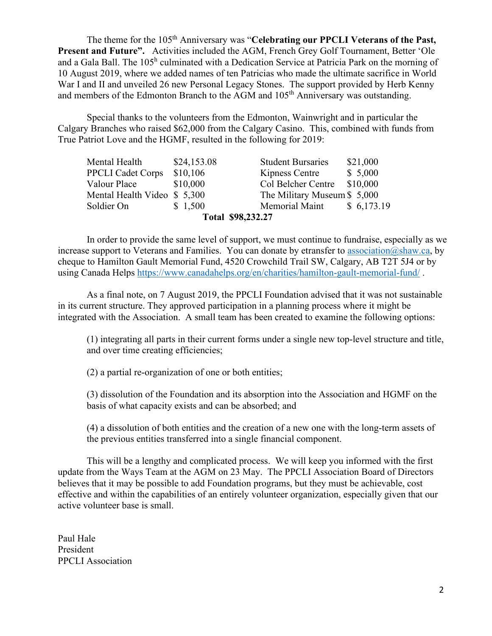The theme for the 105<sup>th</sup> Anniversary was "**Celebrating our PPCLI Veterans of the Past**, **Present and Future".** Activities included the AGM, French Grey Golf Tournament, Better 'Ole and a Gala Ball. The 105<sup>h</sup> culminated with a Dedication Service at Patricia Park on the morning of 10 August 2019, where we added names of ten Patricias who made the ultimate sacrifice in World War I and II and unveiled 26 new Personal Legacy Stones. The support provided by Herb Kenny and members of the Edmonton Branch to the AGM and 105<sup>th</sup> Anniversary was outstanding.

Special thanks to the volunteers from the Edmonton, Wainwright and in particular the Calgary Branches who raised \$62,000 from the Calgary Casino. This, combined with funds from True Patriot Love and the HGMF, resulted in the following for 2019:

| Total \$98,232.27            |             |                             |            |
|------------------------------|-------------|-----------------------------|------------|
| Soldier On                   | \$1,500     | <b>Memorial Maint</b>       | \$6,173.19 |
| Mental Health Video \$ 5,300 |             | The Military Museum \$5,000 |            |
| Valour Place                 | \$10,000    | Col Belcher Centre          | \$10,000   |
| <b>PPCLI Cadet Corps</b>     | \$10,106    | Kipness Centre              | \$5,000    |
| Mental Health                | \$24,153.08 | <b>Student Bursaries</b>    | \$21,000   |
|                              |             |                             |            |

In order to provide the same level of support, we must continue to fundraise, especially as we increase support to Veterans and Families. You can donate by etransfer to association@shaw.ca, by cheque to Hamilton Gault Memorial Fund, 4520 Crowchild Trail SW, Calgary, AB T2T 5J4 or by using Canada Helps https://www.canadahelps.org/en/charities/hamilton-gault-memorial-fund/.

 As a final note, on 7 August 2019, the PPCLI Foundation advised that it was not sustainable in its current structure. They approved participation in a planning process where it might be integrated with the Association. A small team has been created to examine the following options:

(1) integrating all parts in their current forms under a single new top-level structure and title, and over time creating efficiencies;

(2) a partial re-organization of one or both entities;

(3) dissolution of the Foundation and its absorption into the Association and HGMF on the basis of what capacity exists and can be absorbed; and

(4) a dissolution of both entities and the creation of a new one with the long-term assets of the previous entities transferred into a single financial component.

This will be a lengthy and complicated process. We will keep you informed with the first update from the Ways Team at the AGM on 23 May. The PPCLI Association Board of Directors believes that it may be possible to add Foundation programs, but they must be achievable, cost effective and within the capabilities of an entirely volunteer organization, especially given that our active volunteer base is small.

Paul Hale President PPCLI Association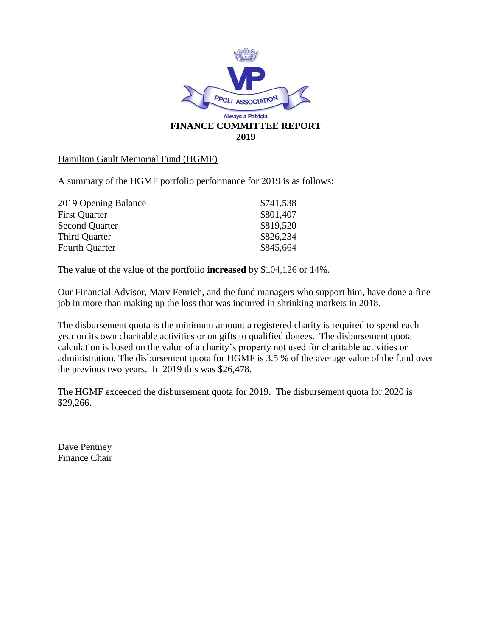

#### Hamilton Gault Memorial Fund (HGMF)

A summary of the HGMF portfolio performance for 2019 is as follows:

| 2019 Opening Balance  | \$741,538 |
|-----------------------|-----------|
| <b>First Quarter</b>  | \$801,407 |
| <b>Second Quarter</b> | \$819,520 |
| <b>Third Quarter</b>  | \$826,234 |
| <b>Fourth Quarter</b> | \$845,664 |

The value of the value of the portfolio **increased** by \$104,126 or 14%.

Our Financial Advisor, Marv Fenrich, and the fund managers who support him, have done a fine job in more than making up the loss that was incurred in shrinking markets in 2018.

The disbursement quota is the minimum amount a registered charity is required to spend each year on its own charitable activities or on gifts to qualified donees. The disbursement quota calculation is based on the value of a charity's property not used for charitable activities or administration. The disbursement quota for HGMF is 3.5 % of the average value of the fund over the previous two years. In 2019 this was \$26,478.

The HGMF exceeded the disbursement quota for 2019. The disbursement quota for 2020 is \$29,266.

Dave Pentney Finance Chair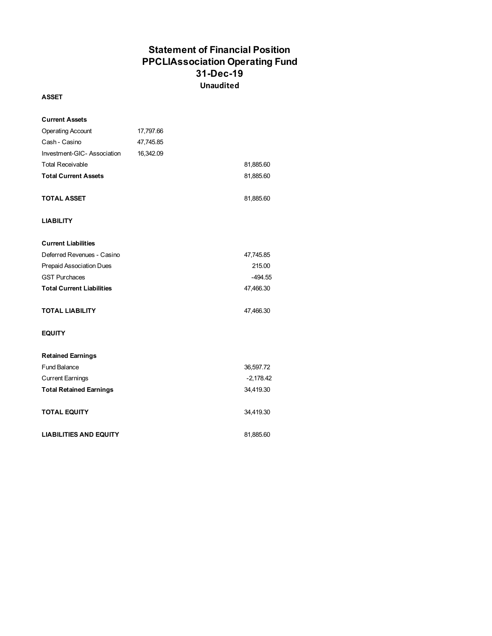### **Statement of Financial Position PPCLIAssociation Operating Fund 31-Dec-19 Unaudited**

#### **ASSET**

| <b>Current Assets</b>            |           |             |
|----------------------------------|-----------|-------------|
| <b>Operating Account</b>         | 17,797.66 |             |
| Cash - Casino                    | 47,745.85 |             |
| Investment-GIC-Association       | 16,342.09 |             |
| <b>Total Receivable</b>          |           | 81,885.60   |
| <b>Total Current Assets</b>      |           | 81,885.60   |
| <b>TOTAL ASSET</b>               |           | 81,885.60   |
| <b>LIABILITY</b>                 |           |             |
| <b>Current Liabilities</b>       |           |             |
| Deferred Revenues - Casino       |           | 47,745.85   |
| <b>Prepaid Association Dues</b>  |           | 215.00      |
| <b>GST Purchaces</b>             |           | -494.55     |
| <b>Total Current Liabilities</b> |           | 47,466.30   |
| <b>TOTAL LIABILITY</b>           |           | 47,466.30   |
| <b>EQUITY</b>                    |           |             |
| <b>Retained Earnings</b>         |           |             |
| <b>Fund Balance</b>              |           | 36,597.72   |
| <b>Current Earnings</b>          |           | $-2,178.42$ |
| <b>Total Retained Earnings</b>   |           | 34,419.30   |
| <b>TOTAL EQUITY</b>              |           | 34,419.30   |
| <b>LIABILITIES AND EQUITY</b>    |           | 81,885.60   |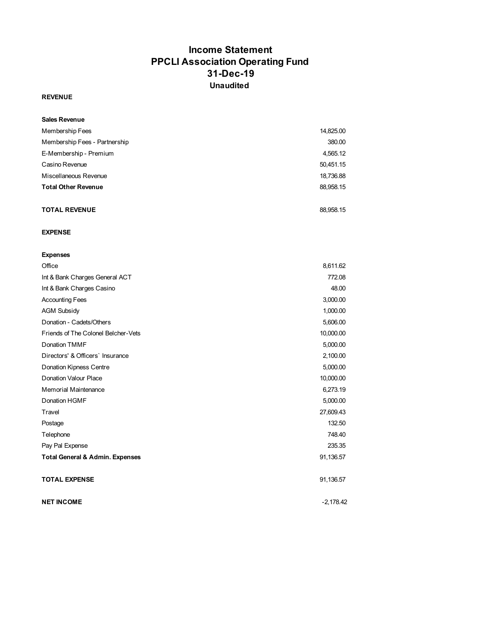### **Income Statement PPCLI Association Operating Fund 31-Dec-19 Unaudited**

#### **REVENUE**

| <b>Sales Revenue</b>          |           |
|-------------------------------|-----------|
| Membership Fees               | 14,825.00 |
| Membership Fees - Partnership | 380.00    |
| E-Membership - Premium        | 4,565.12  |
| Casino Revenue                | 50,451.15 |
| Miscellaneous Revenue         | 18,736.88 |
| <b>Total Other Revenue</b>    | 88,958.15 |
|                               |           |
| <b>TOTAL REVENUE</b>          | 88.958.15 |

#### **EXPENSE**

| <b>Expenses</b>                            |             |
|--------------------------------------------|-------------|
| Office                                     | 8,611.62    |
| Int & Bank Charges General ACT             | 772.08      |
| Int & Bank Charges Casino                  | 48.00       |
| <b>Accounting Fees</b>                     | 3,000.00    |
| <b>AGM Subsidy</b>                         | 1,000.00    |
| Donation - Cadets/Others                   | 5,606.00    |
| Friends of The Colonel Belcher-Vets        | 10,000.00   |
| Donation TMMF                              | 5,000.00    |
| Directors' & Officers' Insurance           | 2,100.00    |
| <b>Donation Kipness Centre</b>             | 5,000.00    |
| Donation Valour Place                      | 10,000.00   |
| Memorial Maintenance                       | 6,273.19    |
| Donation HGMF                              | 5,000.00    |
| Travel                                     | 27,609.43   |
| Postage                                    | 132.50      |
| Telephone                                  | 748.40      |
| Pay Pal Expense                            | 235.35      |
| <b>Total General &amp; Admin. Expenses</b> | 91,136.57   |
| <b>TOTAL EXPENSE</b>                       | 91,136.57   |
| <b>NET INCOME</b>                          | $-2.178.42$ |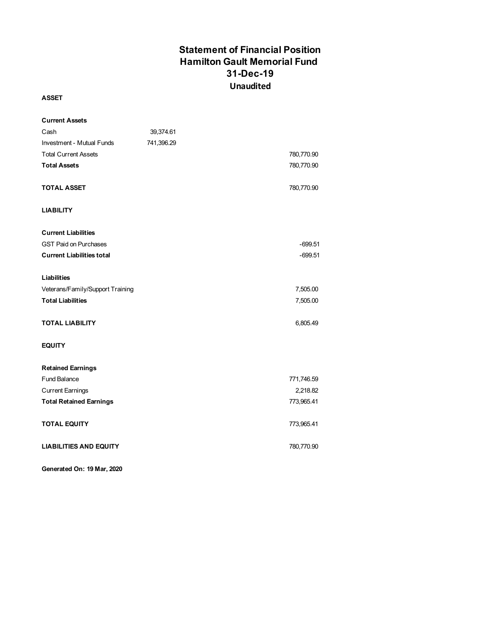### **Statement of Financial Position Hamilton Gault Memorial Fund 31-Dec-19 Unaudited**

#### **ASSET**

| <b>Current Assets</b>            |            |            |
|----------------------------------|------------|------------|
| Cash                             | 39,374.61  |            |
| <b>Investment - Mutual Funds</b> | 741,396.29 |            |
| <b>Total Current Assets</b>      |            | 780,770.90 |
| <b>Total Assets</b>              |            | 780,770.90 |
|                                  |            |            |
| <b>TOTAL ASSET</b>               |            | 780,770.90 |
|                                  |            |            |
| <b>LIABILITY</b>                 |            |            |
|                                  |            |            |
| <b>Current Liabilities</b>       |            |            |
| <b>GST Paid on Purchases</b>     |            | $-699.51$  |
| <b>Current Liabilities total</b> |            | $-699.51$  |
|                                  |            |            |
| Liabilities                      |            |            |
| Veterans/Family/Support Training |            | 7,505.00   |
| <b>Total Liabilities</b>         |            | 7,505.00   |
|                                  |            |            |
| <b>TOTAL LIABILITY</b>           |            | 6,805.49   |
|                                  |            |            |
| <b>EQUITY</b>                    |            |            |
|                                  |            |            |
| <b>Retained Earnings</b>         |            |            |
| <b>Fund Balance</b>              |            | 771,746.59 |
| <b>Current Earnings</b>          |            | 2,218.82   |
| <b>Total Retained Earnings</b>   |            | 773,965.41 |
|                                  |            |            |
| <b>TOTAL EQUITY</b>              |            | 773,965.41 |
| <b>LIABILITIES AND EQUITY</b>    |            | 780,770.90 |
|                                  |            |            |

**Generated On: 19 Mar, 2020**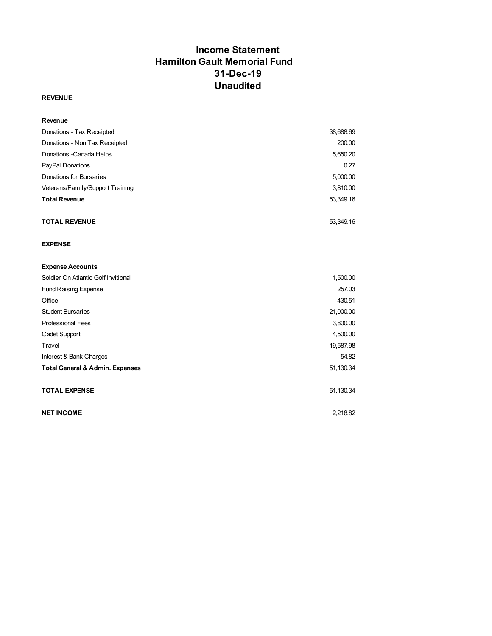### **Income Statement Hamilton Gault Memorial Fund 31-Dec-19 Unaudited**

#### **REVENUE**

| Revenue                             |           |
|-------------------------------------|-----------|
| Donations - Tax Receipted           | 38,688.69 |
| Donations - Non Tax Receipted       | 200.00    |
| Donations - Canada Helps            | 5,650.20  |
| PayPal Donations                    | 0.27      |
| Donations for Bursaries             | 5,000.00  |
| Veterans/Family/Support Training    | 3,810.00  |
| <b>Total Revenue</b>                | 53,349.16 |
| <b>TOTAL REVENUE</b>                | 53,349.16 |
| <b>EXPENSE</b>                      |           |
| <b>Expense Accounts</b>             |           |
| Soldier On Atlantic Golf Invitional | 1,500.00  |
| <b>Fund Raising Expense</b>         | 257.03    |
| Office                              | 430.51    |
| <b>Student Bursaries</b>            | 21,000.00 |
| <b>Professional Fees</b>            | 3,800.00  |

Cadet Support 4,500.00 Travel 19,587.98 Interest & Bank Charges 54.82 **Total General & Admin. Expenses** 51,130.34

**TOTAL EXPENSE** 51,130.34

**NET INCOME** 2,218.82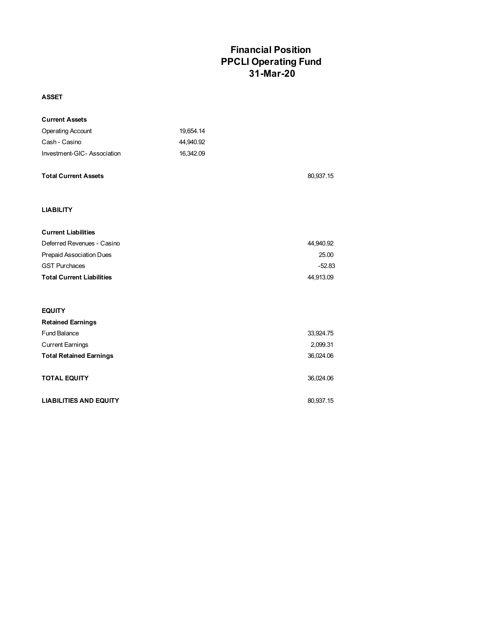### **Financial Position PPCLI Operating Fund 31-Mar-20**

#### **ASSET**

| <b>Current Assets</b>            |           |           |
|----------------------------------|-----------|-----------|
| <b>Operating Account</b>         | 19,654.14 |           |
| Cash - Casino                    | 44,940.92 |           |
| Investment-GIC-Association       | 16,342.09 |           |
| <b>Total Current Assets</b>      |           | 80,937.15 |
| <b>LIABILITY</b>                 |           |           |
| <b>Current Liabilities</b>       |           |           |
| Deferred Revenues - Casino       |           | 44,940.92 |
| Prepaid Association Dues         |           | 25.00     |
| <b>GST Purchaces</b>             |           | $-52.83$  |
| <b>Total Current Liabilities</b> |           | 44,913.09 |
|                                  |           |           |
| <b>EQUITY</b>                    |           |           |
| <b>Retained Earnings</b>         |           |           |
| <b>Fund Balance</b>              |           | 33,924.75 |
| <b>Current Earnings</b>          |           | 2,099.31  |
| <b>Total Retained Earnings</b>   |           | 36,024.06 |
| <b>TOTAL EQUITY</b>              |           | 36,024.06 |
| <b>LIABILITIES AND EQUITY</b>    |           | 80,937.15 |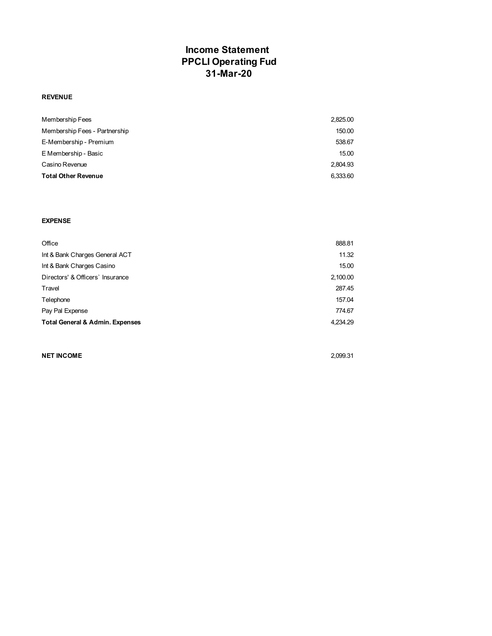### **Income Statement PPCLI Operating Fud 31-Mar-20**

#### **REVENUE**

| Membership Fees               | 2.825.00 |
|-------------------------------|----------|
| Membership Fees - Partnership | 150.00   |
| E-Membership - Premium        | 538.67   |
| E Membership - Basic          | 15.00    |
| Casino Revenue                | 2.804.93 |
| <b>Total Other Revenue</b>    | 6,333.60 |

#### **EXPENSE**

| Office                                     | 888.81   |
|--------------------------------------------|----------|
| Int & Bank Charges General ACT             | 11.32    |
| Int & Bank Charges Casino                  | 15.00    |
| Directors' & Officers' Insurance           | 2,100.00 |
| Travel                                     | 287.45   |
| Telephone                                  | 157.04   |
| Pay Pal Expense                            | 774.67   |
| <b>Total General &amp; Admin. Expenses</b> | 4,234.29 |

#### **NET INCOME** 2,099.31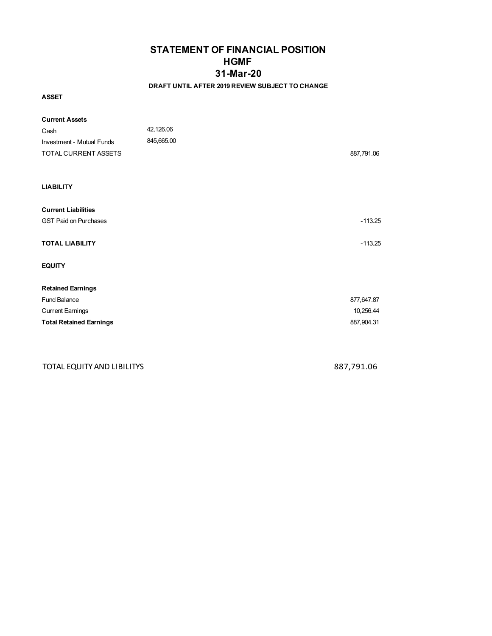### **STATEMENT OF FINANCIAL POSITION HGMF 31-Mar-20**

#### **DRAFT UNTIL AFTER 2019 REVIEW SUBJECT TO CHANGE**

**ASSET**

| <b>Current Assets</b>            |            |            |
|----------------------------------|------------|------------|
| Cash                             | 42,126.06  |            |
| <b>Investment - Mutual Funds</b> | 845,665.00 |            |
| TOTAL CURRENT ASSETS             |            | 887,791.06 |
|                                  |            |            |
| <b>LIABILITY</b>                 |            |            |
| <b>Current Liabilities</b>       |            |            |
| <b>GST Paid on Purchases</b>     |            | $-113.25$  |
| <b>TOTAL LIABILITY</b>           |            | $-113.25$  |
| <b>EQUITY</b>                    |            |            |
| <b>Retained Earnings</b>         |            |            |
| Fund Balance                     |            | 877,647.87 |
| <b>Current Earnings</b>          |            | 10,256.44  |
| <b>Total Retained Earnings</b>   |            | 887,904.31 |
|                                  |            |            |
|                                  |            |            |

TOTAL EQUITY AND LIBILITYS 887,791.06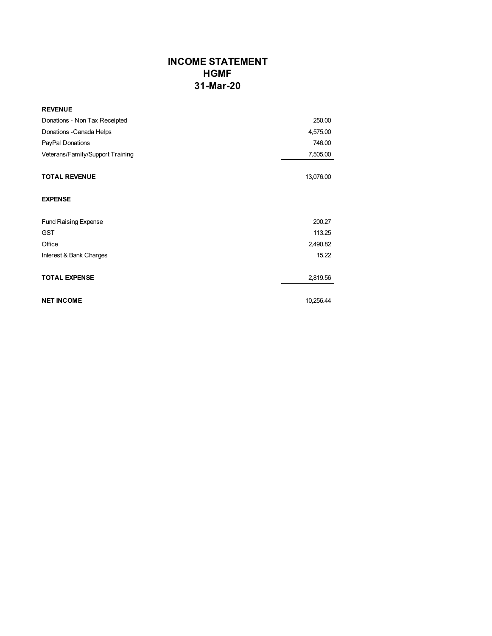### **INCOME STATEMENT HGMF 31-Mar-20**

| <b>REVENUE</b>                   |           |
|----------------------------------|-----------|
| Donations - Non Tax Receipted    | 250.00    |
| Donations - Canada Helps         | 4,575.00  |
| PayPal Donations                 | 746.00    |
| Veterans/Family/Support Training | 7,505.00  |
| <b>TOTAL REVENUE</b>             | 13,076.00 |
| <b>EXPENSE</b>                   |           |
| <b>Fund Raising Expense</b>      | 200.27    |
| <b>GST</b>                       | 113.25    |
| Office                           | 2,490.82  |
| Interest & Bank Charges          | 15.22     |
| <b>TOTAL EXPENSE</b>             | 2,819.56  |
| <b>NET INCOME</b>                | 10,256.44 |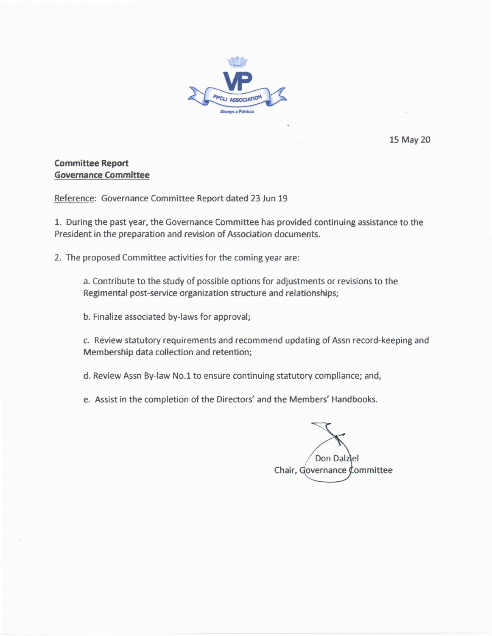

15 May 20

#### **Committee Report Governance Committee**

Reference: Governance Committee Report dated 23 Jun 19

1. During the past year, the Governance Committee has provided continuing assistance to the President in the preparation and revision of Association documents.

2. The proposed Committee activities for the coming year are:

a. Contribute to the study of possible options for adjustments or revisions to the Regimental post-service organization structure and relationships;

b. Finalize associated by-laws for approval;

c. Review statutory requirements and recommend updating of Assn record-keeping and Membership data collection and retention;

d. Review Assn By-law No.1 to ensure continuing statutory compliance; and,

e. Assist in the completion of the Directors' and the Members' Handbooks.

Don Dalziel Chair, Governance Committee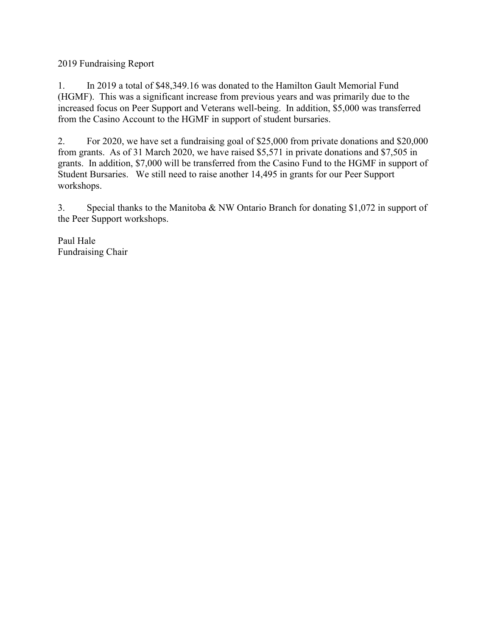2019 Fundraising Report

1. In 2019 a total of \$48,349.16 was donated to the Hamilton Gault Memorial Fund (HGMF). This was a significant increase from previous years and was primarily due to the increased focus on Peer Support and Veterans well-being. In addition, \$5,000 was transferred from the Casino Account to the HGMF in support of student bursaries.

2. For 2020, we have set a fundraising goal of \$25,000 from private donations and \$20,000 from grants. As of 31 March 2020, we have raised \$5,571 in private donations and \$7,505 in grants. In addition, \$7,000 will be transferred from the Casino Fund to the HGMF in support of Student Bursaries. We still need to raise another 14,495 in grants for our Peer Support workshops.

3. Special thanks to the Manitoba & NW Ontario Branch for donating \$1,072 in support of the Peer Support workshops.

Paul Hale Fundraising Chair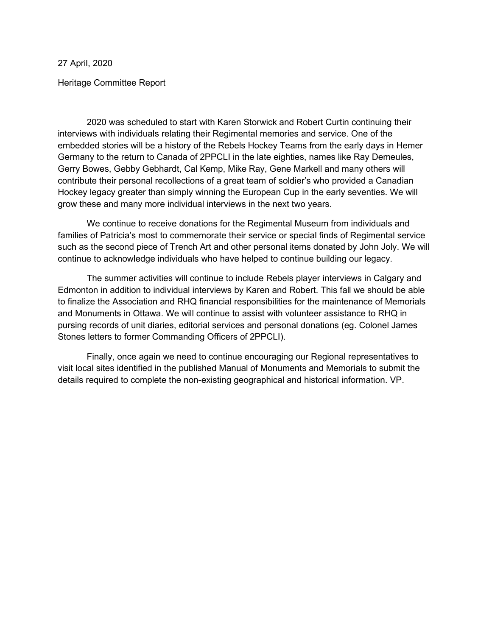27 April, 2020

Heritage Committee Report

2020 was scheduled to start with Karen Storwick and Robert Curtin continuing their interviews with individuals relating their Regimental memories and service. One of the embedded stories will be a history of the Rebels Hockey Teams from the early days in Hemer Germany to the return to Canada of 2PPCLI in the late eighties, names like Ray Demeules, Gerry Bowes, Gebby Gebhardt, Cal Kemp, Mike Ray, Gene Markell and many others will contribute their personal recollections of a great team of soldier's who provided a Canadian Hockey legacy greater than simply winning the European Cup in the early seventies. We will grow these and many more individual interviews in the next two years.

 We continue to receive donations for the Regimental Museum from individuals and families of Patricia's most to commemorate their service or special finds of Regimental service such as the second piece of Trench Art and other personal items donated by John Joly. We will continue to acknowledge individuals who have helped to continue building our legacy.

 The summer activities will continue to include Rebels player interviews in Calgary and Edmonton in addition to individual interviews by Karen and Robert. This fall we should be able to finalize the Association and RHQ financial responsibilities for the maintenance of Memorials and Monuments in Ottawa. We will continue to assist with volunteer assistance to RHQ in pursing records of unit diaries, editorial services and personal donations (eg. Colonel James Stones letters to former Commanding Officers of 2PPCLI).

 Finally, once again we need to continue encouraging our Regional representatives to visit local sites identified in the published Manual of Monuments and Memorials to submit the details required to complete the non-existing geographical and historical information. VP.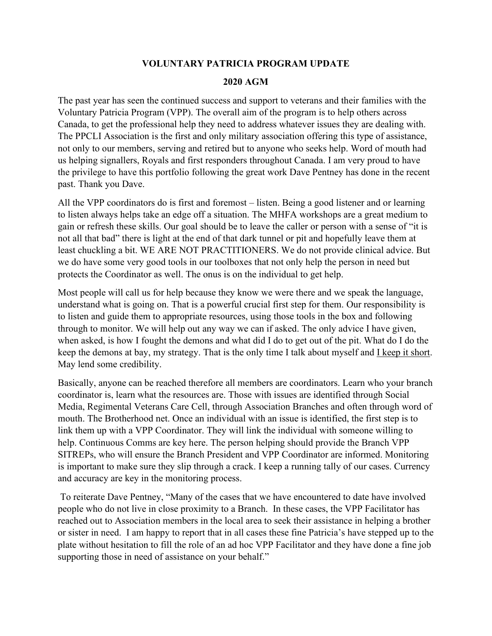#### **VOLUNTARY PATRICIA PROGRAM UPDATE**

#### **2020 AGM**

The past year has seen the continued success and support to veterans and their families with the Voluntary Patricia Program (VPP). The overall aim of the program is to help others across Canada, to get the professional help they need to address whatever issues they are dealing with. The PPCLI Association is the first and only military association offering this type of assistance, not only to our members, serving and retired but to anyone who seeks help. Word of mouth had us helping signallers, Royals and first responders throughout Canada. I am very proud to have the privilege to have this portfolio following the great work Dave Pentney has done in the recent past. Thank you Dave.

All the VPP coordinators do is first and foremost – listen. Being a good listener and or learning to listen always helps take an edge off a situation. The MHFA workshops are a great medium to gain or refresh these skills. Our goal should be to leave the caller or person with a sense of "it is not all that bad" there is light at the end of that dark tunnel or pit and hopefully leave them at least chuckling a bit. WE ARE NOT PRACTITIONERS. We do not provide clinical advice. But we do have some very good tools in our toolboxes that not only help the person in need but protects the Coordinator as well. The onus is on the individual to get help.

Most people will call us for help because they know we were there and we speak the language, understand what is going on. That is a powerful crucial first step for them. Our responsibility is to listen and guide them to appropriate resources, using those tools in the box and following through to monitor. We will help out any way we can if asked. The only advice I have given, when asked, is how I fought the demons and what did I do to get out of the pit. What do I do the keep the demons at bay, my strategy. That is the only time I talk about myself and I keep it short. May lend some credibility.

Basically, anyone can be reached therefore all members are coordinators. Learn who your branch coordinator is, learn what the resources are. Those with issues are identified through Social Media, Regimental Veterans Care Cell, through Association Branches and often through word of mouth. The Brotherhood net. Once an individual with an issue is identified, the first step is to link them up with a VPP Coordinator. They will link the individual with someone willing to help. Continuous Comms are key here. The person helping should provide the Branch VPP SITREPs, who will ensure the Branch President and VPP Coordinator are informed. Monitoring is important to make sure they slip through a crack. I keep a running tally of our cases. Currency and accuracy are key in the monitoring process.

 To reiterate Dave Pentney, "Many of the cases that we have encountered to date have involved people who do not live in close proximity to a Branch. In these cases, the VPP Facilitator has reached out to Association members in the local area to seek their assistance in helping a brother or sister in need. I am happy to report that in all cases these fine Patricia's have stepped up to the plate without hesitation to fill the role of an ad hoc VPP Facilitator and they have done a fine job supporting those in need of assistance on your behalf."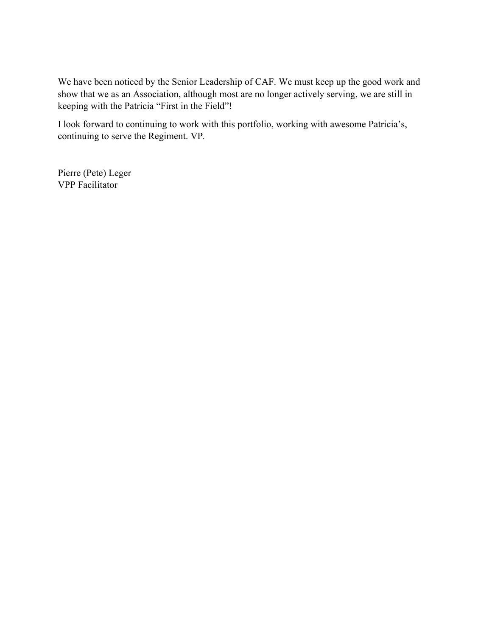We have been noticed by the Senior Leadership of CAF. We must keep up the good work and show that we as an Association, although most are no longer actively serving, we are still in keeping with the Patricia "First in the Field"!

I look forward to continuing to work with this portfolio, working with awesome Patricia's, continuing to serve the Regiment. VP*.* 

Pierre (Pete) Leger VPP Facilitator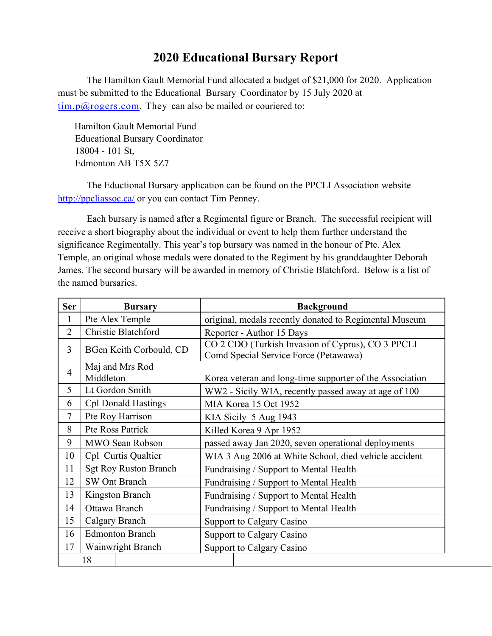## **2020 Educational Bursary Report**

The Hamilton Gault Memorial Fund allocated a budget of \$21,000 for 2020. Application must be submitted to the Educational Bursary Coordinator by 15 July 2020 at  $\underline{\lim. p(\hat{\omega} \text{rogers.com}}$ . They can also be mailed or couriered to:

 Hamilton Gault Memorial Fund Educational Bursary Coordinator 18004 - 101 St, Edmonton AB T5X 5Z7

 The Eductional Bursary application can be found on the PPCLI Association website http://ppcliassoc.ca/ or you can contact Tim Penney.

Each bursary is named after a Regimental figure or Branch. The successful recipient will receive a short biography about the individual or event to help them further understand the significance Regimentally. This year's top bursary was named in the honour of Pte. Alex Temple, an original whose medals were donated to the Regiment by his granddaughter Deborah James. The second bursary will be awarded in memory of Christie Blatchford. Below is a list of the named bursaries.

| <b>Ser</b>     | <b>Bursary</b>               | <b>Background</b>                                                                          |  |  |  |
|----------------|------------------------------|--------------------------------------------------------------------------------------------|--|--|--|
| 1              | Pte Alex Temple              | original, medals recently donated to Regimental Museum                                     |  |  |  |
| $\overline{2}$ | Christie Blatchford          | Reporter - Author 15 Days                                                                  |  |  |  |
| 3              | BGen Keith Corbould, CD      | CO 2 CDO (Turkish Invasion of Cyprus), CO 3 PPCLI<br>Comd Special Service Force (Petawawa) |  |  |  |
| $\overline{4}$ | Maj and Mrs Rod<br>Middleton | Korea veteran and long-time supporter of the Association                                   |  |  |  |
| 5              | Lt Gordon Smith              | WW2 - Sicily WIA, recently passed away at age of 100                                       |  |  |  |
| 6              | <b>Cpl Donald Hastings</b>   | MIA Korea 15 Oct 1952                                                                      |  |  |  |
| 7              | Pte Roy Harrison             | KIA Sicily 5 Aug 1943                                                                      |  |  |  |
| 8              | Pte Ross Patrick             | Killed Korea 9 Apr 1952                                                                    |  |  |  |
| 9              | <b>MWO Sean Robson</b>       | passed away Jan 2020, seven operational deployments                                        |  |  |  |
| 10             | Cpl Curtis Qualtier          | WIA 3 Aug 2006 at White School, died vehicle accident                                      |  |  |  |
| 11             | <b>Sgt Roy Ruston Branch</b> | Fundraising / Support to Mental Health                                                     |  |  |  |
| 12             | <b>SW Ont Branch</b>         | Fundraising / Support to Mental Health                                                     |  |  |  |
| 13             | Kingston Branch              | Fundraising / Support to Mental Health                                                     |  |  |  |
| 14             | Ottawa Branch                | Fundraising / Support to Mental Health                                                     |  |  |  |
| 15             | Calgary Branch               | <b>Support to Calgary Casino</b>                                                           |  |  |  |
| 16             | <b>Edmonton Branch</b>       | Support to Calgary Casino                                                                  |  |  |  |
| 17             | Wainwright Branch            | Support to Calgary Casino                                                                  |  |  |  |
|                | 18                           |                                                                                            |  |  |  |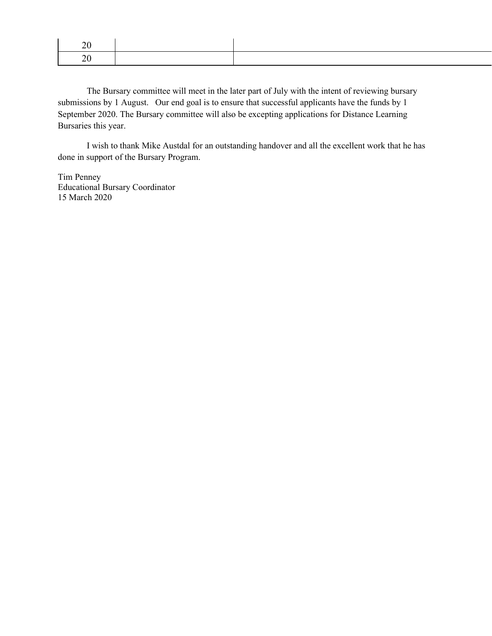The Bursary committee will meet in the later part of July with the intent of reviewing bursary submissions by 1 August. Our end goal is to ensure that successful applicants have the funds by 1 September 2020. The Bursary committee will also be excepting applications for Distance Learning Bursaries this year.

I wish to thank Mike Austdal for an outstanding handover and all the excellent work that he has done in support of the Bursary Program.

Tim Penney Educational Bursary Coordinator 15 March 2020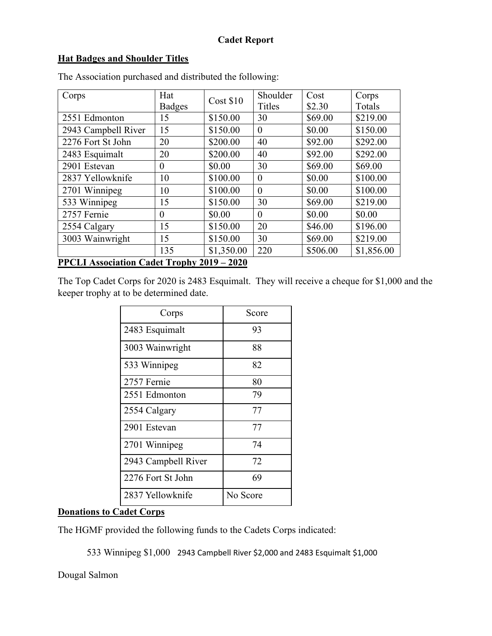### **Hat Badges and Shoulder Titles**

| Corps                                             | Hat           | Cost \$10  | Shoulder      | Cost     | Corps      |  |
|---------------------------------------------------|---------------|------------|---------------|----------|------------|--|
|                                                   | <b>Badges</b> |            | <b>Titles</b> | \$2.30   | Totals     |  |
| 2551 Edmonton                                     | 15            | \$150.00   | 30            | \$69.00  | \$219.00   |  |
| 2943 Campbell River                               | 15            | \$150.00   | $\theta$      | \$0.00   | \$150.00   |  |
| 2276 Fort St John                                 | 20            | \$200.00   | 40            | \$92.00  | \$292.00   |  |
| 2483 Esquimalt                                    | 20            | \$200.00   | 40            | \$92.00  | \$292.00   |  |
| 2901 Estevan                                      | $\theta$      | \$0.00     | 30            | \$69.00  | \$69.00    |  |
| 2837 Yellowknife                                  | 10            | \$100.00   | $\theta$      | \$0.00   | \$100.00   |  |
| 2701 Winnipeg                                     | 10            | \$100.00   | $\theta$      | \$0.00   | \$100.00   |  |
| 533 Winnipeg                                      | 15            | \$150.00   | 30            | \$69.00  | \$219.00   |  |
| 2757 Fernie                                       | $\theta$      | \$0.00     | $\theta$      | \$0.00   | \$0.00     |  |
| 2554 Calgary                                      | 15            | \$150.00   | 20            | \$46.00  | \$196.00   |  |
| 3003 Wainwright                                   | 15            | \$150.00   | 30            | \$69.00  | \$219.00   |  |
|                                                   | 135           | \$1,350.00 | 220           | \$506.00 | \$1,856.00 |  |
| <b>PPCLI Association Cadet Trophy 2019 - 2020</b> |               |            |               |          |            |  |

The Association purchased and distributed the following:

The Top Cadet Corps for 2020 is 2483 Esquimalt. They will receive a cheque for \$1,000 and the keeper trophy at to be determined date.

| Corps               | Score    |
|---------------------|----------|
| 2483 Esquimalt      | 93       |
| 3003 Wainwright     | 88       |
| 533 Winnipeg        | 82       |
| 2757 Fernie         | 80       |
| 2551 Edmonton       | 79       |
| 2554 Calgary        | 77       |
| 2901 Estevan        | 77       |
| 2701 Winnipeg       | 74       |
| 2943 Campbell River | 72       |
| 2276 Fort St John   | 69       |
| 2837 Yellowknife    | No Score |

### **Donations to Cadet Corps**

The HGMF provided the following funds to the Cadets Corps indicated:

533 Winnipeg \$1,000 2943 Campbell River \$2,000 and 2483 Esquimalt \$1,000

Dougal Salmon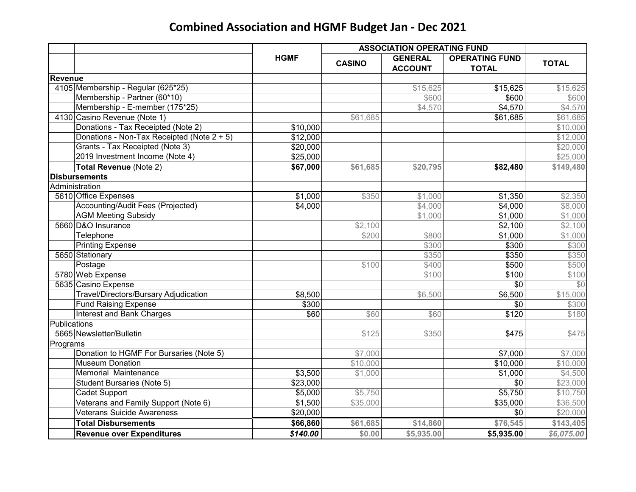# **Combined Association and HGMF Budget Jan - Dec 2021**

|                |                                            | <b>ASSOCIATION OPERATING FUND</b> |               |                |                       |              |
|----------------|--------------------------------------------|-----------------------------------|---------------|----------------|-----------------------|--------------|
|                |                                            | <b>HGMF</b>                       | <b>CASINO</b> | <b>GENERAL</b> | <b>OPERATING FUND</b> | <b>TOTAL</b> |
|                |                                            |                                   |               | <b>ACCOUNT</b> | <b>TOTAL</b>          |              |
| <b>Revenue</b> |                                            |                                   |               |                |                       |              |
|                | 4105 Membership - Regular (625*25)         |                                   |               | \$15,625       | \$15,625              | \$15,625     |
|                | Membership - Partner (60*10)               |                                   |               | \$600          | \$600                 | \$600        |
|                | Membership - E-member (175*25)             |                                   |               | \$4,570        | \$4,570               | \$4,570      |
|                | 4130 Casino Revenue (Note 1)               |                                   | \$61,685      |                | \$61,685              | \$61,685     |
|                | Donations - Tax Receipted (Note 2)         | \$10,000                          |               |                |                       | \$10,000     |
|                | Donations - Non-Tax Receipted (Note 2 + 5) | \$12,000                          |               |                |                       | \$12,000     |
|                | Grants - Tax Receipted (Note 3)            | \$20,000                          |               |                |                       | \$20,000     |
|                | 2019 Investment Income (Note 4)            | \$25,000                          |               |                |                       | \$25,000     |
|                | <b>Total Revenue (Note 2)</b>              | \$67,000                          | \$61,685      | \$20,795       | \$82,480              | \$149,480    |
|                | <b>Disbursements</b>                       |                                   |               |                |                       |              |
|                | Administration                             |                                   |               |                |                       |              |
|                | 5610 Office Expenses                       | \$1,000                           | \$350         | \$1,000        | \$1,350               | \$2,350      |
|                | Accounting/Audit Fees (Projected)          | \$4,000                           |               | \$4,000        | \$4,000               | \$8,000      |
|                | <b>AGM Meeting Subsidy</b>                 |                                   |               | \$1,000        | \$1,000               | \$1,000      |
|                | 5660 D&O Insurance                         |                                   | \$2,100       |                | \$2,100               | \$2,100      |
|                | Telephone                                  |                                   | \$200         | \$800          | \$1,000               | \$1,000      |
|                | <b>Printing Expense</b>                    |                                   |               | \$300          | \$300                 | \$300        |
|                | 5650 Stationary                            |                                   |               | \$350          | \$350                 | \$350        |
|                | Postage                                    |                                   | \$100         | \$400          | \$500                 | \$500        |
|                | 5780 Web Expense                           |                                   |               | \$100          | \$100                 | \$100        |
|                | 5635 Casino Expense                        |                                   |               |                | \$0                   | \$0          |
|                | Travel/Directors/Bursary Adjudication      | \$8,500                           |               | \$6,500        | \$6,500               | \$15,000     |
|                | <b>Fund Raising Expense</b>                | \$300                             |               |                | \$0                   | \$300        |
|                | Interest and Bank Charges                  | \$60                              | \$60          | \$60           | \$120                 | \$180        |
| Publications   |                                            |                                   |               |                |                       |              |
|                | 5665 Newsletter/Bulletin                   |                                   | \$125         | \$350          | \$475                 | \$475        |
| Programs       |                                            |                                   |               |                |                       |              |
|                | Donation to HGMF For Bursaries (Note 5)    |                                   | \$7,000       |                | \$7,000               | \$7,000      |
|                | <b>Museum Donation</b>                     |                                   | \$10,000      |                | \$10,000              | \$10,000     |
|                | Memorial Maintenance                       | \$3,500                           | \$1,000       |                | \$1,000               | \$4,500      |
|                | <b>Student Bursaries (Note 5)</b>          | \$23,000                          |               |                | \$0                   | \$23,000     |
|                | Cadet Support                              | \$5,000                           | \$5,750       |                | \$5,750               | \$10,750     |
|                | Veterans and Family Support (Note 6)       | \$1,500                           | \$35,000      |                | \$35,000              | \$36,500     |
|                | <b>Veterans Suicide Awareness</b>          | \$20,000                          |               |                | \$0                   | \$20,000     |
|                | <b>Total Disbursements</b>                 | \$66,860                          | \$61,685      | \$14,860       | \$76,545              | \$143,405    |
|                | <b>Revenue over Expenditures</b>           | \$140.00                          | \$0.00        | \$5,935.00     | \$5,935.00            | \$6,075.00   |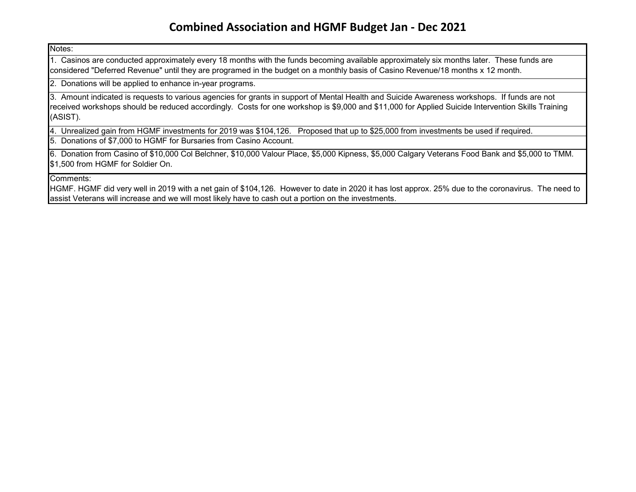### **Combined Association and HGMF Budget Jan - Dec 2021**

Notes:

1. Casinos are conducted approximately every 18 months with the funds becoming available approximately six months later. These funds are considered "Deferred Revenue" until they are programed in the budget on a monthly basis of Casino Revenue/18 months x 12 month.

2. Donations will be applied to enhance in-year programs.

3. Amount indicated is requests to various agencies for grants in support of Mental Health and Suicide Awareness workshops. If funds are not received workshops should be reduced accordingly. Costs for one workshop is \$9,000 and \$11,000 for Applied Suicide Intervention Skills Training (ASIST).

4. Unrealized gain from HGMF investments for 2019 was \$104,126. Proposed that up to \$25,000 from investments be used if required.

5. Donations of \$7,000 to HGMF for Bursaries from Casino Account.

6. Donation from Casino of \$10,000 Col Belchner, \$10,000 Valour Place, \$5,000 Kipness, \$5,000 Calgary Veterans Food Bank and \$5,000 to TMM. \$1,500 from HGMF for Soldier On.

Comments:

 HGMF. HGMF did very well in 2019 with a net gain of \$104,126. However to date in 2020 it has lost approx. 25% due to the coronavirus. The need to assist Veterans will increase and we will most likely have to cash out a portion on the investments.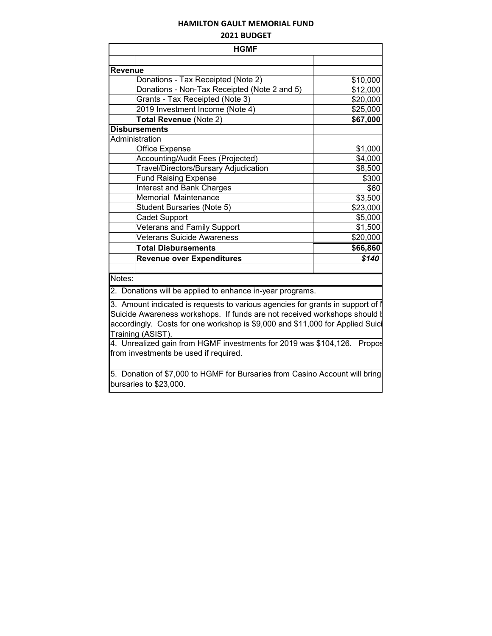### **HAMILTON GAULT MEMORIAL FUND**

#### **2021 BUDGET**

|                | <b>HGMF</b>                                                                                           |          |  |  |  |
|----------------|-------------------------------------------------------------------------------------------------------|----------|--|--|--|
|                |                                                                                                       |          |  |  |  |
| <b>Revenue</b> |                                                                                                       |          |  |  |  |
|                | Donations - Tax Receipted (Note 2)                                                                    | \$10,000 |  |  |  |
|                | Donations - Non-Tax Receipted (Note 2 and 5)                                                          | \$12,000 |  |  |  |
|                | Grants - Tax Receipted (Note 3)                                                                       | \$20,000 |  |  |  |
|                | 2019 Investment Income (Note 4)                                                                       | \$25,000 |  |  |  |
|                | Total Revenue (Note 2)                                                                                | \$67,000 |  |  |  |
|                | <b>Disbursements</b>                                                                                  |          |  |  |  |
|                | Administration                                                                                        |          |  |  |  |
|                | Office Expense                                                                                        | \$1,000  |  |  |  |
|                | Accounting/Audit Fees (Projected)                                                                     | \$4,000  |  |  |  |
|                | Travel/Directors/Bursary Adjudication                                                                 | \$8,500  |  |  |  |
|                | <b>Fund Raising Expense</b>                                                                           | \$300    |  |  |  |
|                | Interest and Bank Charges                                                                             | \$60     |  |  |  |
|                | Memorial Maintenance                                                                                  | \$3,500  |  |  |  |
|                | <b>Student Bursaries (Note 5)</b>                                                                     | \$23,000 |  |  |  |
|                | <b>Cadet Support</b>                                                                                  | \$5,000  |  |  |  |
|                | <b>Veterans and Family Support</b>                                                                    | \$1,500  |  |  |  |
|                | <b>Veterans Suicide Awareness</b>                                                                     | \$20,000 |  |  |  |
|                | <b>Total Disbursements</b>                                                                            | \$66,860 |  |  |  |
|                | <b>Revenue over Expenditures</b>                                                                      | \$140    |  |  |  |
|                |                                                                                                       |          |  |  |  |
| Notes:         |                                                                                                       |          |  |  |  |
|                | 2. Donations will be applied to enhance in-year programs.                                             |          |  |  |  |
|                | 3. Amount indicated is requests to various agencies for grants in support of                          |          |  |  |  |
|                | Suicide Awareness workshops. If funds are not received workshops should                               |          |  |  |  |
|                | accordingly. Costs for one workshop is \$9,000 and \$11,000 for Applied Suici                         |          |  |  |  |
|                | Training (ASIST).                                                                                     |          |  |  |  |
|                | 4. Unrealized gain from HGMF investments for 2019 was \$104,126. Propos                               |          |  |  |  |
|                | from investments be used if required.                                                                 |          |  |  |  |
|                |                                                                                                       |          |  |  |  |
|                | 5. Donation of \$7,000 to HGMF for Bursaries from Casino Account will bring<br>bursaries to \$23,000. |          |  |  |  |
|                |                                                                                                       |          |  |  |  |

П